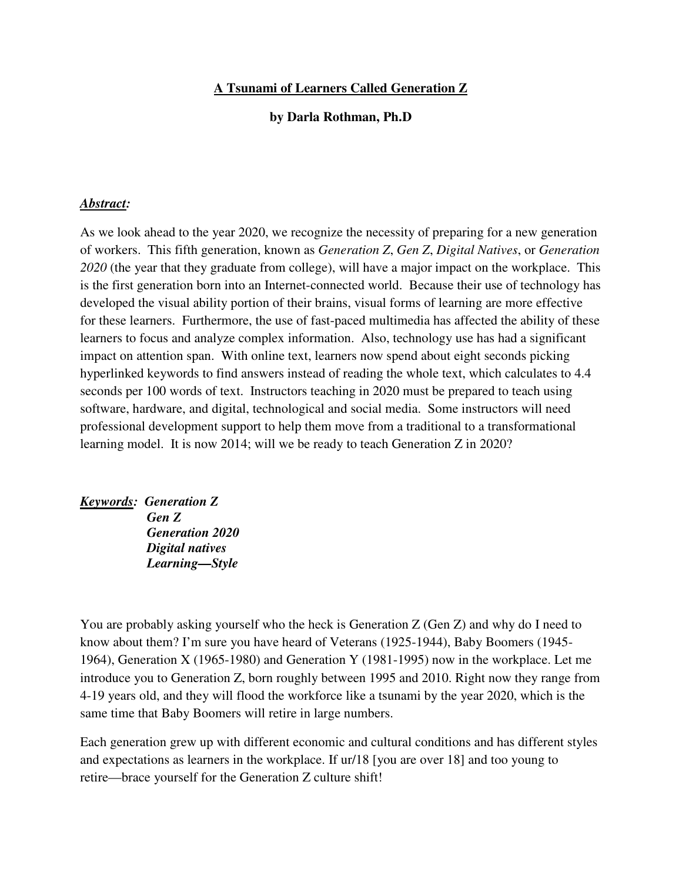### **A Tsunami of Learners Called Generation Z**

#### **by Darla Rothman, Ph.D**

#### *Abstract:*

As we look ahead to the year 2020, we recognize the necessity of preparing for a new generation of workers. This fifth generation, known as *Generation Z*, *Gen Z*, *Digital Natives*, or *Generation 2020* (the year that they graduate from college), will have a major impact on the workplace. This is the first generation born into an Internet-connected world. Because their use of technology has developed the visual ability portion of their brains, visual forms of learning are more effective for these learners. Furthermore, the use of fast-paced multimedia has affected the ability of these learners to focus and analyze complex information. Also, technology use has had a significant impact on attention span. With online text, learners now spend about eight seconds picking hyperlinked keywords to find answers instead of reading the whole text, which calculates to 4.4 seconds per 100 words of text. Instructors teaching in 2020 must be prepared to teach using software, hardware, and digital, technological and social media. Some instructors will need professional development support to help them move from a traditional to a transformational learning model. It is now 2014; will we be ready to teach Generation Z in 2020?

*Keywords: Generation Z Gen Z Generation 2020 Digital natives Learning—Style* 

You are probably asking yourself who the heck is Generation Z (Gen Z) and why do I need to know about them? I'm sure you have heard of Veterans (1925-1944), Baby Boomers (1945- 1964), Generation X (1965-1980) and Generation Y (1981-1995) now in the workplace. Let me introduce you to Generation Z, born roughly between 1995 and 2010. Right now they range from 4-19 years old, and they will flood the workforce like a tsunami by the year 2020, which is the same time that Baby Boomers will retire in large numbers.

Each generation grew up with different economic and cultural conditions and has different styles and expectations as learners in the workplace. If ur/18 [you are over 18] and too young to retire—brace yourself for the Generation Z culture shift!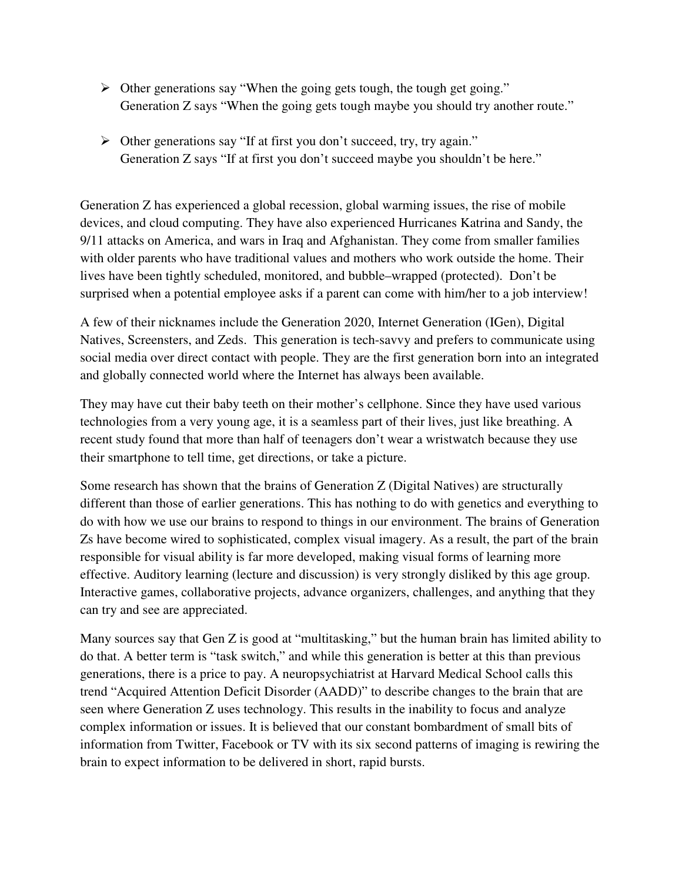- Other generations say "When the going gets tough, the tough get going." Generation Z says "When the going gets tough maybe you should try another route."
- Other generations say "If at first you don't succeed, try, try again." Generation Z says "If at first you don't succeed maybe you shouldn't be here."

Generation Z has experienced a global recession, global warming issues, the rise of mobile devices, and cloud computing. They have also experienced Hurricanes Katrina and Sandy, the 9/11 attacks on America, and wars in Iraq and Afghanistan. They come from smaller families with older parents who have traditional values and mothers who work outside the home. Their lives have been tightly scheduled, monitored, and bubble–wrapped (protected). Don't be surprised when a potential employee asks if a parent can come with him/her to a job interview!

A few of their nicknames include the Generation 2020, Internet Generation (IGen), Digital Natives, Screensters, and Zeds. This generation is tech-savvy and prefers to communicate using social media over direct contact with people. They are the first generation born into an integrated and globally connected world where the Internet has always been available.

They may have cut their baby teeth on their mother's cellphone. Since they have used various technologies from a very young age, it is a seamless part of their lives, just like breathing. A recent study found that more than half of teenagers don't wear a wristwatch because they use their smartphone to tell time, get directions, or take a picture.

Some research has shown that the brains of Generation Z (Digital Natives) are structurally different than those of earlier generations. This has nothing to do with genetics and everything to do with how we use our brains to respond to things in our environment. The brains of Generation Zs have become wired to sophisticated, complex visual imagery. As a result, the part of the brain responsible for visual ability is far more developed, making visual forms of learning more effective. Auditory learning (lecture and discussion) is very strongly disliked by this age group. Interactive games, collaborative projects, advance organizers, challenges, and anything that they can try and see are appreciated.

Many sources say that Gen Z is good at "multitasking," but the human brain has limited ability to do that. A better term is "task switch," and while this generation is better at this than previous generations, there is a price to pay. A neuropsychiatrist at Harvard Medical School calls this trend "Acquired Attention Deficit Disorder (AADD)" to describe changes to the brain that are seen where Generation Z uses technology. This results in the inability to focus and analyze complex information or issues. It is believed that our constant bombardment of small bits of information from Twitter, Facebook or TV with its six second patterns of imaging is rewiring the brain to expect information to be delivered in short, rapid bursts.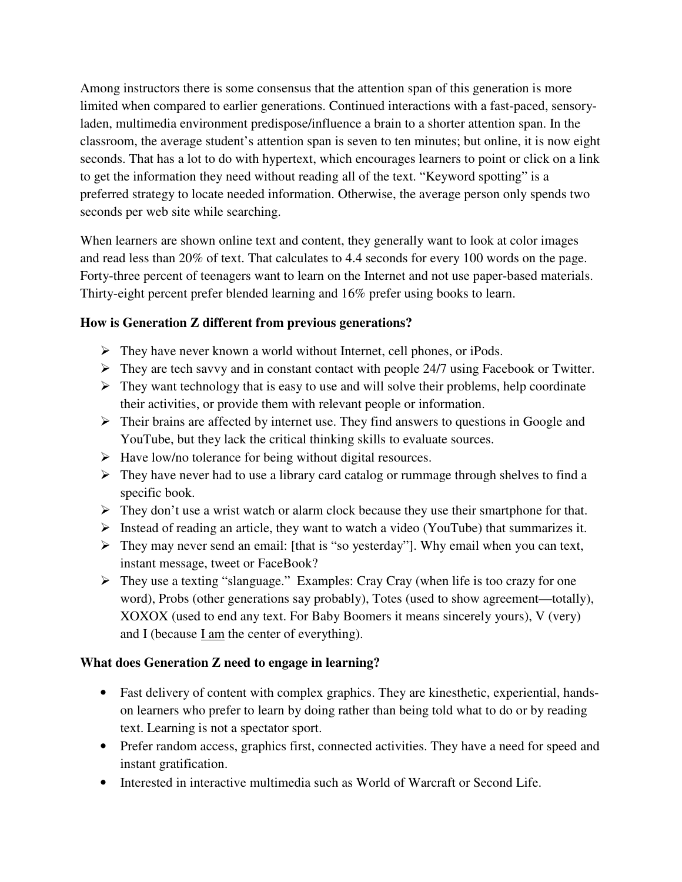Among instructors there is some consensus that the attention span of this generation is more limited when compared to earlier generations. Continued interactions with a fast-paced, sensoryladen, multimedia environment predispose/influence a brain to a shorter attention span. In the classroom, the average student's attention span is seven to ten minutes; but online, it is now eight seconds. That has a lot to do with hypertext, which encourages learners to point or click on a link to get the information they need without reading all of the text. "Keyword spotting" is a preferred strategy to locate needed information. Otherwise, the average person only spends two seconds per web site while searching.

When learners are shown online text and content, they generally want to look at color images and read less than 20% of text. That calculates to 4.4 seconds for every 100 words on the page. Forty-three percent of teenagers want to learn on the Internet and not use paper-based materials. Thirty-eight percent prefer blended learning and 16% prefer using books to learn.

# **How is Generation Z different from previous generations?**

- $\triangleright$  They have never known a world without Internet, cell phones, or iPods.
- $\triangleright$  They are tech savvy and in constant contact with people 24/7 using Facebook or Twitter.
- $\triangleright$  They want technology that is easy to use and will solve their problems, help coordinate their activities, or provide them with relevant people or information.
- $\triangleright$  Their brains are affected by internet use. They find answers to questions in Google and YouTube, but they lack the critical thinking skills to evaluate sources.
- $\triangleright$  Have low/no tolerance for being without digital resources.
- $\triangleright$  They have never had to use a library card catalog or rummage through shelves to find a specific book.
- $\triangleright$  They don't use a wrist watch or alarm clock because they use their smartphone for that.
- $\triangleright$  Instead of reading an article, they want to watch a video (YouTube) that summarizes it.
- They may never send an email: [that is "so yesterday"]. Why email when you can text, instant message, tweet or FaceBook?
- $\triangleright$  They use a texting "slanguage." Examples: Cray Cray (when life is too crazy for one word), Probs (other generations say probably), Totes (used to show agreement—totally), XOXOX (used to end any text. For Baby Boomers it means sincerely yours), V (very) and I (because I am the center of everything).

## **What does Generation Z need to engage in learning?**

- Fast delivery of content with complex graphics. They are kinesthetic, experiential, handson learners who prefer to learn by doing rather than being told what to do or by reading text. Learning is not a spectator sport.
- Prefer random access, graphics first, connected activities. They have a need for speed and instant gratification.
- Interested in interactive multimedia such as World of Warcraft or Second Life.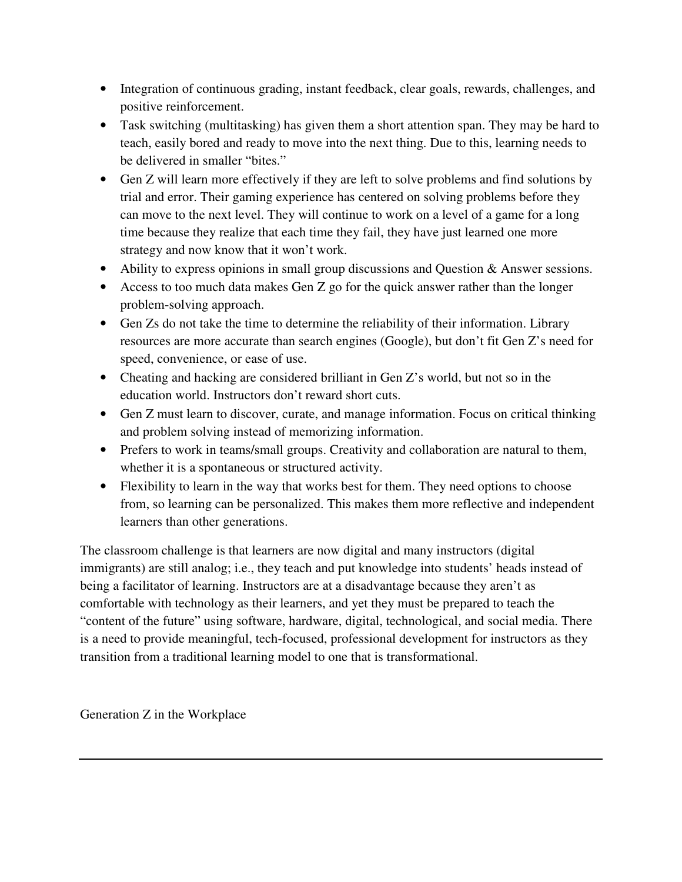- Integration of continuous grading, instant feedback, clear goals, rewards, challenges, and positive reinforcement.
- Task switching (multitasking) has given them a short attention span. They may be hard to teach, easily bored and ready to move into the next thing. Due to this, learning needs to be delivered in smaller "bites."
- Gen Z will learn more effectively if they are left to solve problems and find solutions by trial and error. Their gaming experience has centered on solving problems before they can move to the next level. They will continue to work on a level of a game for a long time because they realize that each time they fail, they have just learned one more strategy and now know that it won't work.
- Ability to express opinions in small group discussions and Question & Answer sessions.
- Access to too much data makes Gen Z go for the quick answer rather than the longer problem-solving approach.
- Gen Zs do not take the time to determine the reliability of their information. Library resources are more accurate than search engines (Google), but don't fit Gen Z's need for speed, convenience, or ease of use.
- Cheating and hacking are considered brilliant in Gen Z's world, but not so in the education world. Instructors don't reward short cuts.
- Gen Z must learn to discover, curate, and manage information. Focus on critical thinking and problem solving instead of memorizing information.
- Prefers to work in teams/small groups. Creativity and collaboration are natural to them, whether it is a spontaneous or structured activity.
- Flexibility to learn in the way that works best for them. They need options to choose from, so learning can be personalized. This makes them more reflective and independent learners than other generations.

The classroom challenge is that learners are now digital and many instructors (digital immigrants) are still analog; i.e., they teach and put knowledge into students' heads instead of being a facilitator of learning. Instructors are at a disadvantage because they aren't as comfortable with technology as their learners, and yet they must be prepared to teach the "content of the future" using software, hardware, digital, technological, and social media. There is a need to provide meaningful, tech-focused, professional development for instructors as they transition from a traditional learning model to one that is transformational.

Generation Z in the Workplace